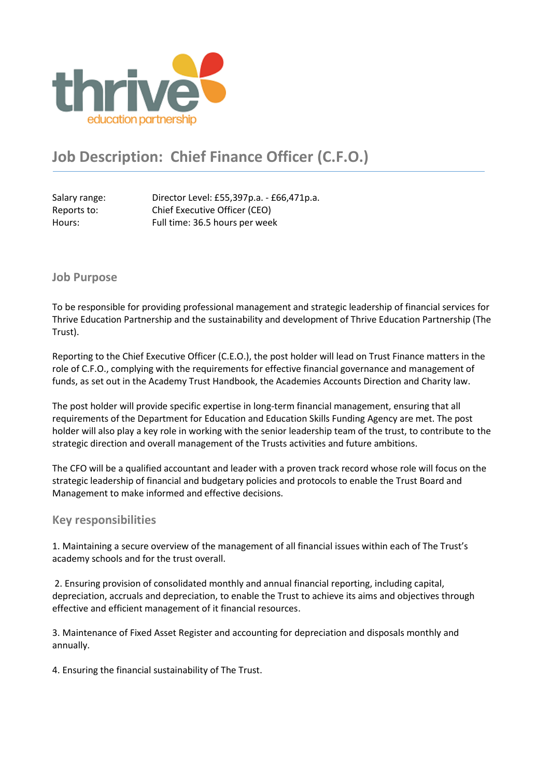

# **Job Description: Chief Finance Officer (C.F.O.)**

Salary range: Director Level: £55,397p.a. - £66,471p.a. Reports to: Chief Executive Officer (CEO) Hours: Full time: 36.5 hours per week

#### **Job Purpose**

To be responsible for providing professional management and strategic leadership of financial services for Thrive Education Partnership and the sustainability and development of Thrive Education Partnership (The Trust).

Reporting to the Chief Executive Officer (C.E.O.), the post holder will lead on Trust Finance matters in the role of C.F.O., complying with the requirements for effective financial governance and management of funds, as set out in the Academy Trust Handbook, the Academies Accounts Direction and Charity law.

The post holder will provide specific expertise in long-term financial management, ensuring that all requirements of the Department for Education and Education Skills Funding Agency are met. The post holder will also play a key role in working with the senior leadership team of the trust, to contribute to the strategic direction and overall management of the Trusts activities and future ambitions.

The CFO will be a qualified accountant and leader with a proven track record whose role will focus on the strategic leadership of financial and budgetary policies and protocols to enable the Trust Board and Management to make informed and effective decisions.

#### **Key responsibilities**

1. Maintaining a secure overview of the management of all financial issues within each of The Trust's academy schools and for the trust overall.

2. Ensuring provision of consolidated monthly and annual financial reporting, including capital, depreciation, accruals and depreciation, to enable the Trust to achieve its aims and objectives through effective and efficient management of it financial resources.

3. Maintenance of Fixed Asset Register and accounting for depreciation and disposals monthly and annually.

4. Ensuring the financial sustainability of The Trust.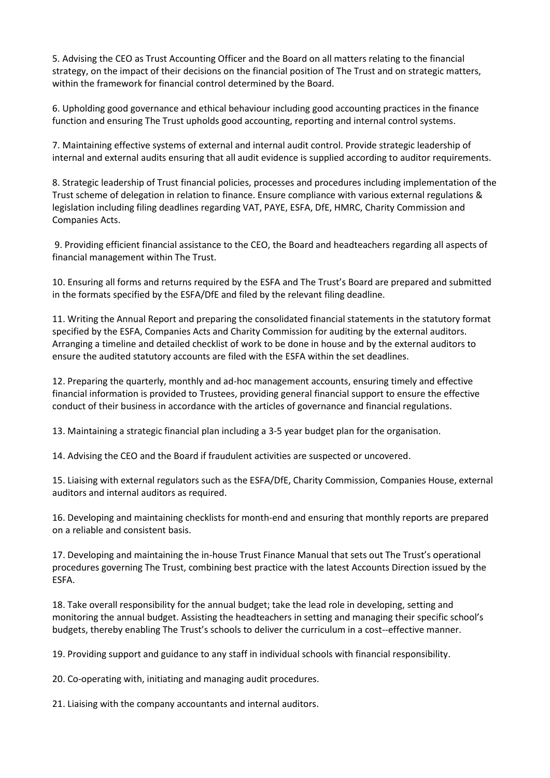5. Advising the CEO as Trust Accounting Officer and the Board on all matters relating to the financial strategy, on the impact of their decisions on the financial position of The Trust and on strategic matters, within the framework for financial control determined by the Board.

6. Upholding good governance and ethical behaviour including good accounting practices in the finance function and ensuring The Trust upholds good accounting, reporting and internal control systems.

7. Maintaining effective systems of external and internal audit control. Provide strategic leadership of internal and external audits ensuring that all audit evidence is supplied according to auditor requirements.

8. Strategic leadership of Trust financial policies, processes and procedures including implementation of the Trust scheme of delegation in relation to finance. Ensure compliance with various external regulations & legislation including filing deadlines regarding VAT, PAYE, ESFA, DfE, HMRC, Charity Commission and Companies Acts.

9. Providing efficient financial assistance to the CEO, the Board and headteachers regarding all aspects of financial management within The Trust.

10. Ensuring all forms and returns required by the ESFA and The Trust's Board are prepared and submitted in the formats specified by the ESFA/DfE and filed by the relevant filing deadline.

11. Writing the Annual Report and preparing the consolidated financial statements in the statutory format specified by the ESFA, Companies Acts and Charity Commission for auditing by the external auditors. Arranging a timeline and detailed checklist of work to be done in house and by the external auditors to ensure the audited statutory accounts are filed with the ESFA within the set deadlines.

12. Preparing the quarterly, monthly and ad-hoc management accounts, ensuring timely and effective financial information is provided to Trustees, providing general financial support to ensure the effective conduct of their business in accordance with the articles of governance and financial regulations.

13. Maintaining a strategic financial plan including a 3-5 year budget plan for the organisation.

14. Advising the CEO and the Board if fraudulent activities are suspected or uncovered.

15. Liaising with external regulators such as the ESFA/DfE, Charity Commission, Companies House, external auditors and internal auditors as required.

16. Developing and maintaining checklists for month-end and ensuring that monthly reports are prepared on a reliable and consistent basis.

17. Developing and maintaining the in-house Trust Finance Manual that sets out The Trust's operational procedures governing The Trust, combining best practice with the latest Accounts Direction issued by the ESFA.

18. Take overall responsibility for the annual budget; take the lead role in developing, setting and monitoring the annual budget. Assisting the headteachers in setting and managing their specific school's budgets, thereby enabling The Trust's schools to deliver the curriculum in a cost--effective manner.

19. Providing support and guidance to any staff in individual schools with financial responsibility.

20. Co-operating with, initiating and managing audit procedures.

21. Liaising with the company accountants and internal auditors.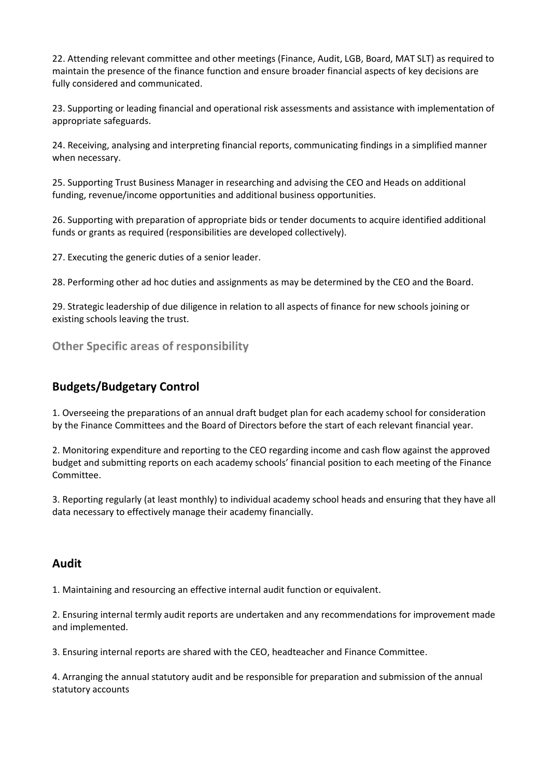22. Attending relevant committee and other meetings (Finance, Audit, LGB, Board, MAT SLT) as required to maintain the presence of the finance function and ensure broader financial aspects of key decisions are fully considered and communicated.

23. Supporting or leading financial and operational risk assessments and assistance with implementation of appropriate safeguards.

24. Receiving, analysing and interpreting financial reports, communicating findings in a simplified manner when necessary.

25. Supporting Trust Business Manager in researching and advising the CEO and Heads on additional funding, revenue/income opportunities and additional business opportunities.

26. Supporting with preparation of appropriate bids or tender documents to acquire identified additional funds or grants as required (responsibilities are developed collectively).

27. Executing the generic duties of a senior leader.

28. Performing other ad hoc duties and assignments as may be determined by the CEO and the Board.

29. Strategic leadership of due diligence in relation to all aspects of finance for new schools joining or existing schools leaving the trust.

**Other Specific areas of responsibility**

### **Budgets/Budgetary Control**

1. Overseeing the preparations of an annual draft budget plan for each academy school for consideration by the Finance Committees and the Board of Directors before the start of each relevant financial year.

2. Monitoring expenditure and reporting to the CEO regarding income and cash flow against the approved budget and submitting reports on each academy schools' financial position to each meeting of the Finance Committee.

3. Reporting regularly (at least monthly) to individual academy school heads and ensuring that they have all data necessary to effectively manage their academy financially.

#### **Audit**

1. Maintaining and resourcing an effective internal audit function or equivalent.

2. Ensuring internal termly audit reports are undertaken and any recommendations for improvement made and implemented.

3. Ensuring internal reports are shared with the CEO, headteacher and Finance Committee.

4. Arranging the annual statutory audit and be responsible for preparation and submission of the annual statutory accounts